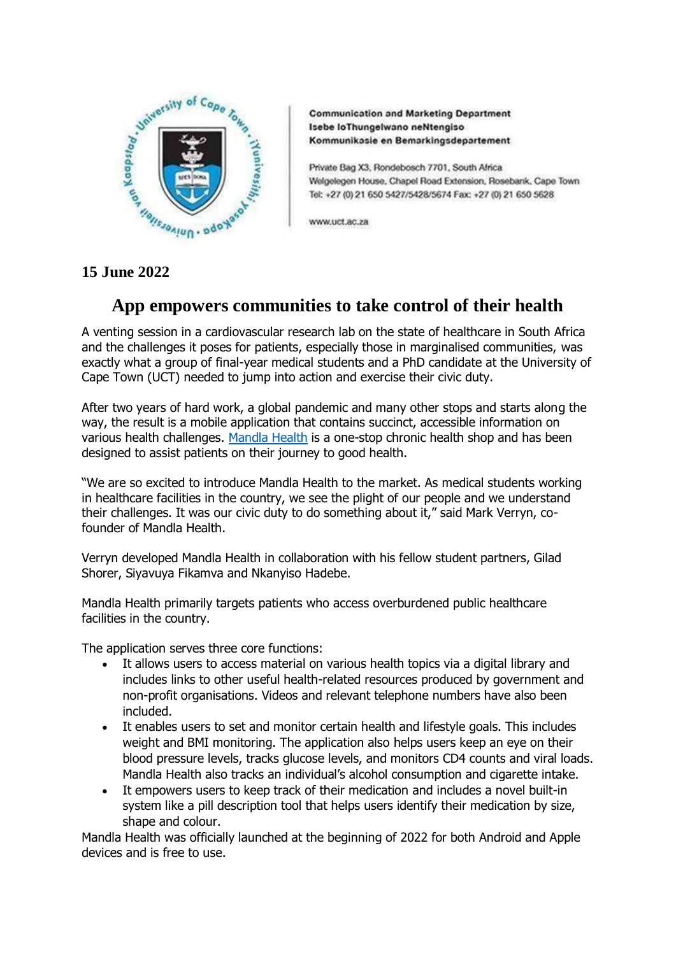

**Communication and Marketing Department** Isebe loThungelwano neNtengiso Kommunikasie en Bemarkingsdepartement

Private Bag X3, Rondebosch 7701, South Africa Welgelegen House, Chapel Road Extension, Rosebank, Cape Town Tel: +27 (0) 21 650 5427/5428/5674 Fax: +27 (0) 21 650 5628

www.uct.ac.za

## **15 June 2022**

# **App empowers communities to take control of their health**

A venting session in a cardiovascular research lab on the state of healthcare in South Africa and the challenges it poses for patients, especially those in marginalised communities, was exactly what a group of final-year medical students and a PhD candidate at the University of Cape Town (UCT) needed to jump into action and exercise their civic duty.

After two years of hard work, a global pandemic and many other stops and starts along the way, the result is a mobile application that contains succinct, accessible information on various health challenges. [Mandla Health](https://mandlahealth.co.za/) is a one-stop chronic health shop and has been designed to assist patients on their journey to good health.

"We are so excited to introduce Mandla Health to the market. As medical students working in healthcare facilities in the country, we see the plight of our people and we understand their challenges. It was our civic duty to do something about it," said Mark Verryn, cofounder of Mandla Health.

Verryn developed Mandla Health in collaboration with his fellow student partners, Gilad Shorer, Siyavuya Fikamva and Nkanyiso Hadebe.

Mandla Health primarily targets patients who access overburdened public healthcare facilities in the country.

The application serves three core functions:

- It allows users to access material on various health topics via a digital library and includes links to other useful health-related resources produced by government and non-profit organisations. Videos and relevant telephone numbers have also been included.
- It enables users to set and monitor certain health and lifestyle goals. This includes weight and BMI monitoring. The application also helps users keep an eye on their blood pressure levels, tracks glucose levels, and monitors CD4 counts and viral loads. Mandla Health also tracks an individual's alcohol consumption and cigarette intake.
- It empowers users to keep track of their medication and includes a novel built-in system like a pill description tool that helps users identify their medication by size, shape and colour.

Mandla Health was officially launched at the beginning of 2022 for both Android and Apple devices and is free to use.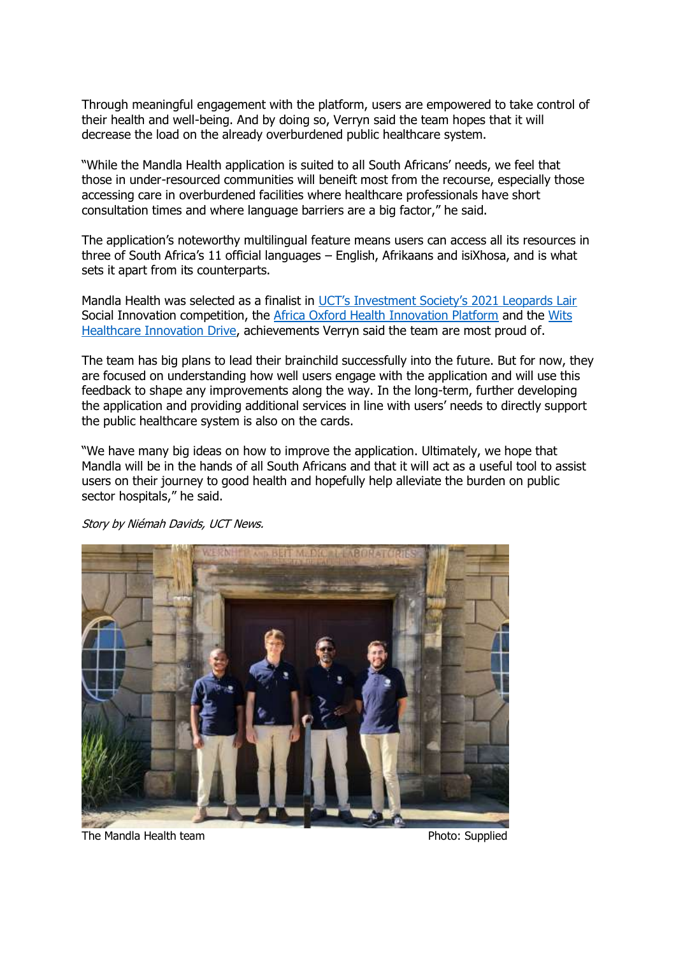Through meaningful engagement with the platform, users are empowered to take control of their health and well-being. And by doing so, Verryn said the team hopes that it will decrease the load on the already overburdened public healthcare system.

"While the Mandla Health application is suited to all South Africans' needs, we feel that those in under-resourced communities will beneift most from the recourse, especially those accessing care in overburdened facilities where healthcare professionals have short consultation times and where language barriers are a big factor," he said.

The application's noteworthy multilingual feature means users can access all its resources in three of South Africa's 11 official languages – English, Afrikaans and isiXhosa, and is what sets it apart from its counterparts.

Mandla Health was selected as a finalist in [UCT's Investment Society's 2021 Leopards Lair](https://akro.africa/uct-leopards-lair-2021/) Social Innovation competition, the [Africa Oxford Health Innovation Platform](https://www.afox.ox.ac.uk/africa-oxford-health-innovation-platform) and the [Wits](http://www.thisiswhi.org/)  [Healthcare Innovation Drive,](http://www.thisiswhi.org/) achievements Verryn said the team are most proud of.

The team has big plans to lead their brainchild successfully into the future. But for now, they are focused on understanding how well users engage with the application and will use this feedback to shape any improvements along the way. In the long-term, further developing the application and providing additional services in line with users' needs to directly support the public healthcare system is also on the cards.

"We have many big ideas on how to improve the application. Ultimately, we hope that Mandla will be in the hands of all South Africans and that it will act as a useful tool to assist users on their journey to good health and hopefully help alleviate the burden on public sector hospitals," he said.

Story by Niémah Davids, UCT News.



The Mandla Health team **Photo:** Supplied